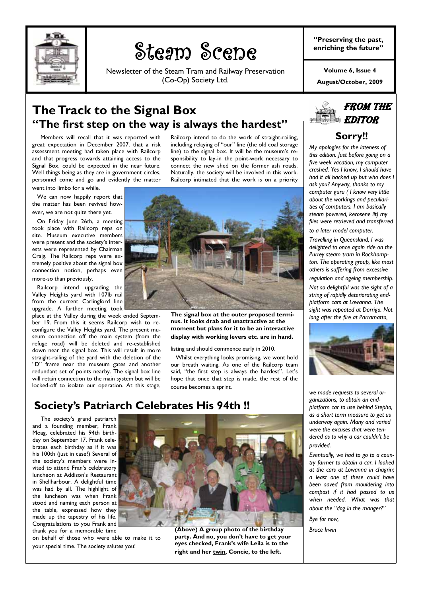

# Steam Scene

Newsletter of the Steam Tram and Railway Preservation (Co-Op) Society Ltd.

**"Preserving the past, enriching the future"** 

**August/October, 2009 Volume 6, Issue 4** 

### **The Track to the Signal Box "The first step on the way is always the hardest"**

 Members will recall that it was reported with great expectation in December 2007, that a risk assessment meeting had taken place with Railcorp and that progress towards attaining access to the Signal Box, could be expected in the near future. Well things being as they are in government circles, personnel come and go and evidently the matter went into limbo for a while.

 We can now happily report that the matter has been revived however, we are not quite there yet.

 On Friday June 26th, a meeting took place with Railcorp reps on site. Museum executive members were present and the society's interests were represented by Chairman Craig. The Railcorp reps were extremely positive about the signal box connection notion, perhaps even more-so than previously.

 Railcorp intend upgrading the Valley Heights yard with 107lb rail from the current Carlingford line upgrade. A further meeting took

place at the Valley during the week ended September 19. From this it seems Railcorp wish to reconfigure the Valley Heights yard. The present museum connection off the main system (from the refuge road) will be deleted and re-established down near the signal box. This will result in more straight-railing of the yard with the deletion of the "D" frame near the museum gates and another redundant set of points nearby. The signal box line will retain connection to the main system but will be locked-off to isolate our operation. At this stage,

Railcorp intend to do the work of straight-railing, including relaying of "our" line (the old coal storage line) to the signal box. It will be the museum's responsibility to lay-in the point-work necessary to connect the new shed on the former ash roads. Naturally, the society will be involved in this work. Railcorp intimated that the work is on a priority



**The signal box at the outer proposed terminus. It looks drab and unattractive at the moment but plans for it to be an interactive display with working levers etc. are in hand.** 

listing and should commence early in 2010.

 Whilst everything looks promising, we wont hold our breath waiting. As one of the Railcorp team said, "the first step is always the hardest". Let's hope that once that step is made, the rest of the course becomes a sprint.

FROM THE EDITOR

### **Sorry!!**

*My apologies for the lateness of this edition. Just before going on a five week vacation, my computer crashed. Yes I know, I should have had it all backed up but who does I ask you? Anyway, thanks to my computer guru ( I know very little about the workings and peculiarities of computers. I am basically steam powered, kerosene lit) my files were retrieved and transferred to a later model computer.* 

*Travelling in Queensland, I was delighted to once again ride on the Purrey steam tram in Rockhampton. The operating group, like most others is suffering from excessive regulation and ageing membership.* 

*Not so delightful was the sight of a string of rapidly deteriorating endplatform cars at Lowanna. The sight was repeated at Dorrigo. Not long after the fire at Parramatta,* 



*we made requests to several organizations, to obtain an endplatform car to use behind Stepho, as a short term measure to get us underway again. Many and varied were the excuses that were tendered as to why a car couldn't be provided.* 

*Eventually, we had to go to a country farmer to obtain a car. I looked at the cars at Lowanna in chagrin; a least one of these could have been saved from mouldering into compost if it had passed to us when needed. What was that about the "dog in the manger?"* 

*Bye for now,* 

*Bruce Irwin* 

### **Society's Patriarch Celebrates His 94th !!**

 The society's grand patriarch and a founding member, Frank Moag, celebrated his 94th birthday on September 17. Frank celebrates each birthday as if it was his 100th (just in case?) Several of the society's members were invited to attend Fran's celebratory luncheon at Addison's Restaurant in Shellharbour. A delightful time was had by all. The highlight of the luncheon was when Frank stood and naming each person at the table, expressed how they made up the tapestry of his life. Congratulations to you Frank and thank you for a memorable time

on behalf of those who were able to make it to your special time. The society salutes you!



**(Above) A group photo of the birthday party. And no, you don't have to get your eyes checked, Frank's wife Leila is to the right and her twin, Concie, to the left.**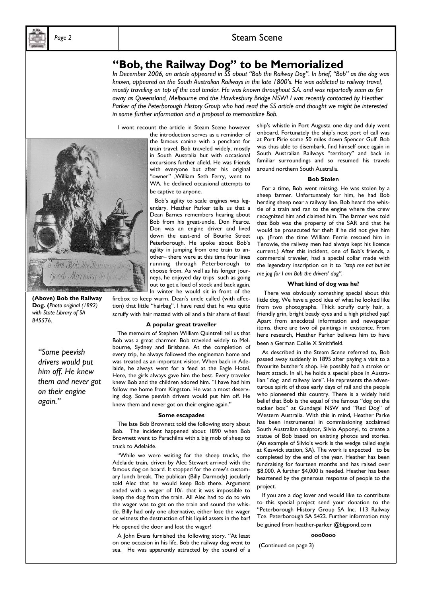### **"Bob, the Railway Dog" to be Memorialized**

*In December 2006, an article appeared in SS about "Bob the Railway Dog". In brief, "Bob" as the dog was known, appeared on the South Australian Railways in the late 1800's. He was addicted to railway travel, mostly traveling on top of the coal tender. He was known throughout S.A. and was reportedly seen as far away as Queensland, Melbourne and the Hawkesbury Bridge NSW! I was recently contacted by Heather Parker of the Peterborough History Group who had read the SS article and thought we might be interested in some further information and a proposal to memorialize Bob.* 

I wont recount the article in Steam Scene however

the introduction serves as a reminder of the famous canine with a penchant for train travel. Bob traveled widely, mostly in South Australia but with occasional excursions further afield. He was friends with everyone but after his original "owner" ,William Seth Ferry, went to WA, he declined occasional attempts to be captive to anyone.

 Bob's agility to scale engines was legendary. Heather Parker tells us that a Dean Barnes remembers hearing about Bob from his great-uncle, Don Pearce. Don was an engine driver and lived down the east-end of Bourke Street Peterborough. He spoke about Bob's agility in jumping from one train to another– there were at this time four lines running through Peterborough to choose from. As well as his longer journeys, he enjoyed day trips such as going out to get a load of stock and back again. In winter he would sit in front of the

firebox to keep warm. Dean's uncle called (with affection) that little "hairbag". I have read that he was quite scruffy with hair matted with oil and a fair share of fleas!

#### **A popular great traveller**

 The memoirs of Stephen William Quintrell tell us that Bob was a great charmer. Bob traveled widely to Melbourne, Sydney and Brisbane. At the completion of every trip, he always followed the engineman home and was treated as an important visitor. When back in Adelaide, he always went for a feed at the Eagle Hotel. Here, the girls always gave him the best. Every traveler knew Bob and the children adored him. "I have had him follow me home from Kingston. He was a most deserving dog. Some peevish drivers would put him off. He knew them and never got on their engine again."

#### **Some escapades**

 The late Bob Brownett told the following story about Bob. The incident happened about 1890 when Bob Brownett went to Parachilna with a big mob of sheep to truck to Adelaide.

 "While we were waiting for the sheep trucks, the Adelaide train, driven by Alec Stewart arrived with the famous dog on board. It stopped for the crew's customary lunch break. The publican (Billy Darmody) jocularly told Alec that he would keep Bob there. Argument ended with a wager of 10/- that it was impossible to keep the dog from the train. All Alec had to do to win the wager was to get on the train and sound the whistle. Billy had only one alternative, either lose the wager or witness the destruction of his liquid assets in the bar! He opened the door and lost the wager!

 A John Evans furnished the following story. "At least on one occasion in his life, Bob the railway dog went to sea. He was apparently attracted by the sound of a

ship's whistle in Port Augusta one day and duly went onboard. Fortunately the ship's next port of call was at Port Pirie some 50 miles down Spencer Gulf. Bob was thus able to disembark, find himself once again in South Australian Railways "territory" and back in familiar surroundings and so resumed his travels around northern South Australia.

#### **Bob Stolen**

 For a time, Bob went missing. He was stolen by a sheep farmer. Unfortunately for him, he had Bob herding sheep near a railway line. Bob heard the whistle of a train and ran to the engine where the crew recognized him and claimed him. The farmer was told that Bob was the property of the SAR and that he would be prosecuted for theft if he did not give him up. (From the time William Ferrie rescued him in Terowie, the railway men had always kept his licence current.) After this incident, one of Bob's friends, a commercial traveler, had a special collar made with the legendary inscription on it to *"stop me not but let me jog for I am Bob the drivers' dog".* 

#### **What kind of dog was he?**

There was obviously something special about this little dog. We have a good idea of what he looked like from two photographs. Thick scruffy curly hair, a friendly grin, bright beady eyes and a high pitched yap! Apart from anecdotal information and newspaper items, there are two oil paintings in existence. From here research, Heather Parker believes him to have been a German Collie X Smithfield.

 As described in the Steam Scene referred to, Bob passed away suddenly in 1895 after paying a visit to a favourite butcher's shop. He possibly had a stroke or heart attack. In all, he holds a special place in Australian "dog and railway lore". He represents the adventurous spirit of those early days of rail and the people who pioneered this country. There is a widely held belief that Bob is the equal of the famous "dog on the tucker box" at Gundagai NSW and "Red Dog" of Western Australia. With this in mind, Heather Parke has been instrumental in commissioning acclaimed South Australian sculptor, Silvio Apponyi, to create a statue of Bob based on existing photos and stories. (An example of Silvio's work is the wedge tailed eagle at Keswick station, SA). The work is expected to be completed by the end of the year. Heather has been fundraising for fourteen months and has raised over \$8,000. A further \$4,000 is needed. Heather has been heartened by the generous response of people to the project.

 If you are a dog lover and would like to contribute to this special project send your donation to the "Peterborough History Group SA Inc. 113 Railway Tce. Peterborough SA 5422. Further information may be gained from heather-parker @bigpond.com

#### **ooo0ooo**

(Continued on page 3)



**(Above) Bob the Railway Dog. (***Photo original (1892) with State Library of SA B45576.* 

*"Some peevish drivers would put him off. He knew them and never got on their engine again."*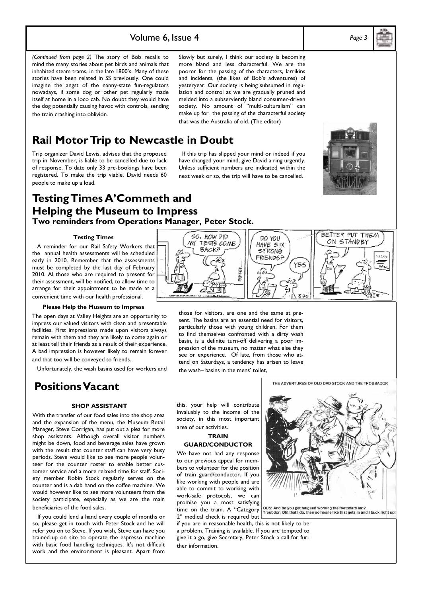### Volume 6, Issue 4 *Page 3*

Slowly but surely, I think our society is becoming more bland and less characterful. We are the poorer for the passing of the characters, larrikins and incidents, (the likes of Bob's adventures) of yesteryear. Our society is being subsumed in regulation and control as we are gradually pruned and melded into a subserviently bland consumer-driven society. No amount of "multi-culturalism" can make up for the passing of the characterful society that was the Australia of old. (The editor)

### **Rail Motor Trip to Newcastle in Doubt**

Trip organizer David Lewis, advises that the proposed trip in November, is liable to be cancelled due to lack of response. To date only 33 pre-bookings have been registered. To make the trip viable, David needs 60 people to make up a load.

the train crashing into oblivion.

*(Continued from page 2)* The story of Bob recalls to mind the many stories about pet birds and animals that inhabited steam trams, in the late 1800's. Many of these stories have been related in SS previously. One could imagine the angst of the nanny-state fun-regulators nowadays, if some dog or other pet regularly made itself at home in a loco cab. No doubt they would have the dog potentially causing havoc with controls, sending

> If this trip has slipped your mind or indeed if you have changed your mind, give David a ring urgently. Unless sufficient numbers are indicated within the next week or so, the trip will have to be cancelled.

> > ρό γου

Ω

### **Testing Times A'Commeth and Helping the Museum to Impress Two reminders from Operations Manager, Peter Stock.**

#### **Testing Times**

 A reminder for our Rail Safety Workers that the annual health assessments will be scheduled early in 2010. Remember that the assessments must be completed by the last day of February 2010. Al those who are required to present for their assessment, will be notified, to allow time to arrange for their appointment to be made at a convenient time with our health professional.

#### **Please Help the Museum to Impress**

The open days at Valley Heights are an opportunity to impress our valued visitors with clean and presentable facilities. First impressions made upon visitors always remain with them and they are likely to come again or at least tell their friends as a result of their experience. A bad impression is however likely to remain forever and that too will be conveyed to friends.

Unfortunately, the wash basins used for workers and

### **Positions Vacant**

#### **SHOP ASSISTANT**

With the transfer of our food sales into the shop area and the expansion of the menu, the Museum Retail Manager, Steve Corrigan, has put out a plea for more shop assistants. Although overall visitor numbers might be down, food and beverage sales have grown with the result that counter staff can have very busy periods. Steve would like to see more people volunteer for the counter roster to enable better customer service and a more relaxed time for staff. Society member Robin Stock regularly serves on the counter and is a dab hand on the coffee machine. We would however like to see more volunteers from the society participate, especially as we are the main beneficiaries of the food sales.

 If you could lend a hand every couple of months or so, please get in touch with Peter Stock and he will refer you on to Steve. If you wish, Steve can have you trained-up on site to operate the espresso machine with basic food handling techniques. It's not difficult work and the environment is pleasant. Apart from those for visitors, are one and the same at present. The basins are an essential need for visitors, particularly those with young children. For them to find themselves confronted with a dirty wash basin, is a definite turn-off delivering a poor impression of the museum, no matter what else they see or experience. Of late, from those who attend on Saturdays, a tendency has arisen to leave the wash– basins in the mens' toilet,

PAKEP.

this, your help will contribute invaluably to the income of the society, in this most important area of our activities.

SO, HOW DID

ВАСК₹

٨W

TESTS COME

#### **TRAIN GUARD/CONDUCTOR**

We have not had any response to our previous appeal for members to volunteer for the position of train guard/conductor. If you like working with people and are able to commit to working with work-safe protocols, we can promise you a most satisfying time on the tram. A "Category 2" medical check is required but

if you are in reasonable health, this is not likely to be a problem. Training is available. If you are tempted to give it a go, give Secretary, Peter Stock a call for further information.





THE ADVENTURES OF OLD DAD STOCK AND THE TROUBADOR

ODS: And do you get fatigued working the footboard lad?<br>Troubdor: Oh! that I do, then someone like that gets in and I buck right up!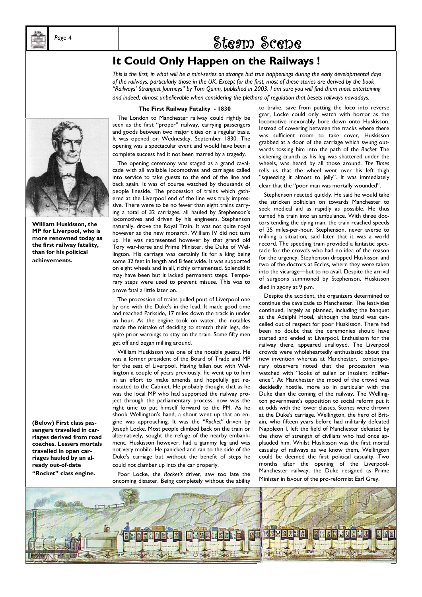

## Page 4 **by Steam Scene**

### **It Could Only Happen on the Railways !**

*This is the first, in what will be a mini-series on strange but true happenings during the early developmental days of the railways, particularly those in the UK. Except for the first, most of these stories are derived by the book "Railways' Strangest Journeys" by Tom Quinn, published in 2003. I am sure you will find them most entertaining and indeed, almost unbelievable when considering the plethora of regulation that besets railways nowadays.* 

#### **The First Railway Fatality - 1830**

 The London to Manchester railway could rightly be seen as the first "proper" railway, carrying passengers and goods between two major cities on a regular basis. It was opened on Wednesday, September 1830. The opening was a spectacular event and would have been a complete success had it not been marred by a tragedy.

 The opening ceremony was staged as a grand cavalcade with all available locomotives and carriages called into service to take guests to the end of the line and back again. It was of course watched by thousands of people lineside. The procession of trains which gathered at the Liverpool end of the line was truly impressive. There were to be no fewer than eight trains carrying a total of 32 carriages, all hauled by Stephenson's locomotives and driven by his engineers. Stephenson naturally, drove the Royal Train. It was not quite royal however as the new monarch, William IV did not turn up. He was represented however by that grand old Tory war-horse and Prime Minister, the Duke of Wellington. His carriage was certainly fit for a king being some 32 feet in length and 8 feet wide. It was supported on eight wheels and in all, richly ornamented. Splendid it may have been but it lacked permanent steps. Temporary steps were used to prevent misuse. This was to prove fatal a little later on.

 The procession of trains pulled pout of Liverpool one by one with the Duke's in the lead. It made good time and reached Parkside, 17 miles down the track in under an hour. As the engine took on water, the notables made the mistake of deciding to stretch their legs, despite prior warnings to stay on the train. Some fifty men got off and began milling around.

 William Huskisson was one of the notable guests. He was a former president of the Board of Trade and MP for the seat of Liverpool. Having fallen out with Wellington a couple of years previously, he went up to him in an effort to make amends and hopefully get reinstated to the Cabinet. He probably thought that as he was the local MP who had supported the railway project through the parliamentary process, now was the right time to put himself forward to the PM. As he shook Wellington's hand, a shout went up that an engine was approaching. It was the "*Rocket"* driven by Joseph Locke. Most people climbed back on the train or alternatively, sought the refuge of the nearby embankment. Huskisson however, had a gammy leg and was not very mobile. He panicked and ran to the side of the Duke's carriage but without the benefit of steps he could not clamber up into the car properly.

 Poor Locke, the *Rocket's* driver, saw too late the oncoming disaster. Being completely without the ability

to brake, save from putting the loco into reverse gear, Locke could only watch with horror as the locomotive inexorably bore down onto Huskisson. Instead of cowering between the tracks where there was sufficient room to take cover, Huskisson grabbed at a door of the carriage which swung outwards tossing him into the path of the *Rocket.* The sickening crunch as his leg was shattered under the wheels, was heard by all those around. *The Times*  tells us that the wheel went over his left thigh "squeezing it almost to jelly". It was immediately clear that the "poor man was mortally wounded".

 Stephenson reacted quickly. He said he would take the stricken politician on towards Manchester to seek medical aid as rapidly as possible. He thus turned his train into an ambulance. With three doctors tending the dying man, the train reached speeds of 35 miles-per-hour. Stephenson, never averse to milking a situation, said later that it was a world record. The speeding train provided a fantastic spectacle for the crowds who had no idea of the reason for the urgency. Stephenson dropped Huskisson and two of the doctors at Eccles, where they were taken into the vicarage—but to no avail. Despite the arrival of surgeons summoned by Stephenson, Huskisson died in agony at 9 p.m.

 Despite the accident, the organizers determined to continue the cavalcade to Manchester. The festivities continued, largely as planned, including the banquet at the Adelphi Hotel, although the band was cancelled out of respect for poor Huskisson. There had been no doubt that the ceremonies should have started and ended at Liverpool. Enthusiasm for the railway there, appeared unalloyed. The Liverpool crowds were wholeheartedly enthusiastic about the new invention whereas at Manchester, contemporary observers noted that the procession was watched with "looks of sullen or insolent indifference". At Manchester the mood of the crowd was decidedly hostile, more so in particular with the Duke than the coming of the railway. The Wellington government's opposition to social reform put it at odds with the lower classes. Stones were thrown at the Duke's carriage. Wellington, the hero of Britain, who fifteen years before had militarily defeated Napoleon I, left the field of Manchester defeated by the show of strength of civilians who had once applauded him. Whilst Huskisson was the first mortal casualty of railways as we know them, Wellington could be deemed the first political casualty. Two months after the opening of the Liverpool-Manchester railway, the Duke resigned as Prime Minister in favour of the pro-reformist Earl Grey.





**William Huskisson, the MP for Liverpool, who is more renowned today as the first railway fatality, than for his political achievements.** 

**(Below) First class passengers travelled in carriages derived from road coaches. Lessers mortals travelled in open carriages hauled by an already out-of-date** 

**"Rocket" class engine.**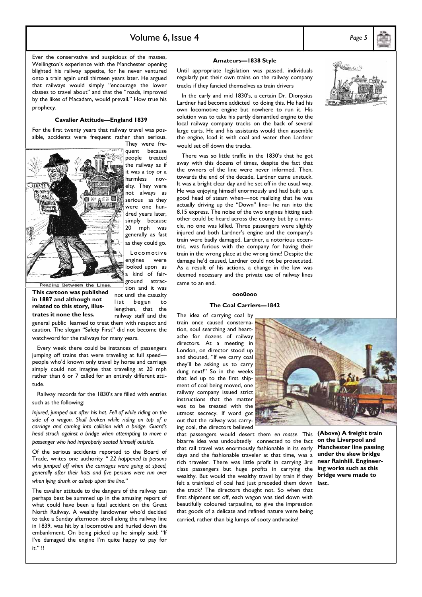### Volume 6, Issue 4 *Page 5*

Ever the conservative and suspicious of the masses, Wellington's experience with the Manchester opening blighted his railway appetite, for he never ventured onto a train again until thirteen years later. He argued that railways would simply "encourage the lower classes to travel about" and that the "roads, improved by the likes of Macadam, would prevail." How true his prophecy.

#### **Cavalier Attitude—England 1839**

For the first twenty years that railway travel was possible, accidents were frequent rather than serious. They were fre-



quent because people treated the railway as if it was a toy or a harmless novelty. They were not always as serious as they were one hundred years later, simply because 20 mph was generally as fast as they could go. Locomotive

engines were looked upon as a kind of fairground attrac-

tion and it was

Reading Between the Lines

**This cartoon was published in 1887 and although not related to this story, illus-**

not until the casualty list began to lengthen, that the

railway staff and the general public learned to treat them with respect and caution. The slogan "Safety First" did not become the watchword for the railways for many years. **trates it none the less.** 

 Every week there could be instances of passengers jumping off trains that were traveling at full speed people who'd known only travel by horse and carriage simply could not imagine that traveling at 20 mph rather than 6 or 7 called for an entirely different attitude.

 Railway records for the 1830's are filled with entries such as the following:

*Injured, jumped out after his hat. Fell of while riding on the side of a wagon. Skull broken while riding on top of a carriage and coming into collision with a bridge. Guard's head struck against a bridge when attempting to move a passenger who had improperly seated himself outside.* 

Of the serious accidents reported to the Board of Trade, writes one authority *" 22 happened to persons who jumped off when the carriages were going at speed, generally after their hats and five persons were run over when lying drunk or asleep upon the line."* 

The cavalier attitude to the dangers of the railway can perhaps best be summed up in the amusing report of what could have been a fatal accident on the Great North Railway. A wealthy landowner who'd decided to take a Sunday afternoon stroll along the railway line in 1839, was hit by a locomotive and hurled down the embankment. On being picked up he simply said; "If I've damaged the engine I'm quite happy to pay for it." !!

#### **Amateurs—1838 Style**

Until appropriate legislation was passed, individuals regularly put their own trains on the railway company tracks if they fancied themselves as train drivers

 In the early and mid 1830's, a certain Dr. Dionysius Lardner had become addicted to doing this. He had his own locomotive engine but nowhere to run it. His solution was to take his partly dismantled engine to the local railway company tracks on the back of several large carts. He and his assistants would then assemble the engine, load it with coal and water then Lardenr would set off down the tracks.

 There was so little traffic in the 1830's that he got away with this dozens of times, despite the fact that the owners of the line were never informed. Then, towards the end of the decade, Lardner came unstuck. It was a bright clear day and he set off in the usual way. He was enjoying himself enormously and had built up a good head of steam when—not realizing that he was actually driving up the "Down" line– he ran into the 8.15 express. The noise of the two engines hitting each other could be heard across the county but by a miracle, no one was killed. Three passengers were slightly injured and both Lardner's engine and the company's train were badly damaged. Lardner, a notorious eccentric, was furious with the company for having their train in the wrong place at the wrong time! Despite the damage he'd caused, Lardner could not be prosecuted. As a result of his actions, a change in the law was deemed necessary and the private use of railway lines came to an end.

#### **ooo0ooo**

#### **The Coal Carriers—1842**

The idea of carrying coal by train once caused consternation, soul searching and heartache for dozens of railway directors. At a meeting in London, on director stood up and shouted, "If we carry coal they'll be asking us to carry dung next!" So in the weeks that led up to the first shipment of coal being moved, one railway company issued strict instructions that the matter was to be treated with the utmost secrecy. If word got out that the railway was carrying coal, the directors believed



felt a trainload of coal had just preceded them down last. that passengers would desert them *en masse*. This bizarre idea was undoubtedly connected to the fact that rail travel was enormously fashionable in its early days and the fashionable traveler at that time, was a rich traveler. There was little profit in carrying 3rd class passengers but huge profits in carrying the wealthy. But would the wealthy travel by train if they the track? The directors thought not. So when that first shipment set off, each wagon was tied down with beautifully coloured tarpaulins, to give the impression that goods of a delicate and refined nature were being carried, rather than big lumps of sooty anthracite!

**(Above) A freight train on the Liverpool and Manchester line passing under the skew bridge near Rainhill. Engineering works such as this bridge were made to** 

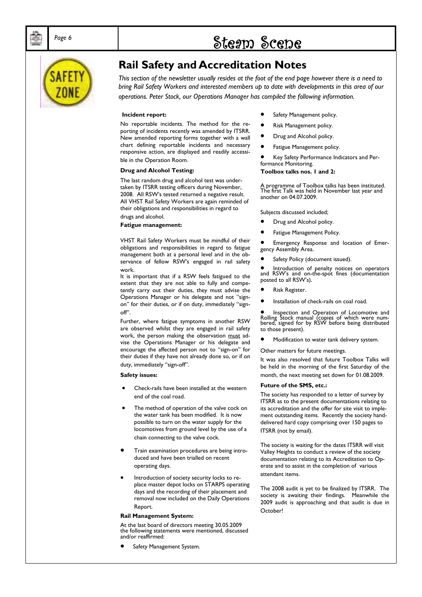# Page 6 **bidge 1 contracts** Steam Scene



### **Rail Safety and Accreditation Notes**

*This section of the newsletter usually resides at the foot of the end page however there is a need to bring Rail Safety Workers and interested members up to date with developments in this area of our operations. Peter Stock, our Operations Manager has compiled the following information.* 

#### **Incident report:**

No reportable incidents. The method for the reporting of incidents recently was amended by ITSRR. New amended reporting forms together with a wall chart defining reportable incidents and necessary responsive action, are displayed and readily accessible in the Operation Room.

#### **Drug and Alcohol Testing:**

The last random drug and alcohol test was undertaken by ITSRR testing officers during November, 2008. All RSW's tested returned a negative result. All VHST Rail Safety Workers are again reminded of their obligations and responsibilities in regard to drugs and alcohol.

**Fatigue management:** 

VHST Rail Safety Workers must be mindful of their obligations and responsibilities in regard to fatigue management both at a personal level and in the observance of fellow RSW's engaged in rail safety work.

It is important that if a RSW feels fatigued to the extent that they are not able to fully and competently carry out their duties, they must advise the Operations Manager or his delegate and not "signon" for their duties, or if on duty, immediately "signoff".

Further, where fatigue symptoms in another RSW are observed whilst they are engaged in rail safety work, the person making the observation must advise the Operations Manager or his delegate and encourage the affected person not to "sign-on" for their duties if they have not already done so, or if on duty, immediately "sign-off".

#### **Safety issues:**

- Check-rails have been installed at the western end of the coal road.
- The method of operation of the valve cock on the water tank has been modified. It is now possible to turn on the water supply for the locomotives from ground level by the use of a chain connecting to the valve cock.
- Train examination procedures are being introduced and have been trialled on recent operating days.
- Introduction of society security locks to replace master depot locks on STARPS operating days and the recording of their placement and removal now included on the Daily Operations Report.

#### **Rail Management System:**

At the last board of directors meeting 30.05.2009 the following statements were mentioned, discussed and/or reaffirmed:

Safety Management System.

- Safety Management policy.
- Risk Management policy.
- Drug and Alcohol policy.
- Fatigue Management policy.

• Key Safety Performance Indicators and Performance Monitoring.

**Toolbox talks nos. 1 and 2:** 

A programme of Toolbox talks has been instituted. The first Talk was held in November last year and another on 04.07.2009.

Subjects discussed included;

- Drug and Alcohol policy.
- Fatigue Management Policy.

• Emergency Response and location of Emergency Assembly Area.

Safety Policy (document issued).

• Introduction of penalty notices on operators and RSW's and on-the-spot fines (documentation posted to all RSW's).

- Risk Register.
- Installation of check-rails on coal road.

• Inspection and Operation of Locomotive and Rolling Stock manual (copies of which were num-bered, signed for by RSW before being distributed to those present).

• Modification to water tank delivery system.

Other matters for future meetings.

It was also resolved that future Toolbox Talks will be held in the morning of the first Saturday of the month, the next meeting set down for 01.08.2009.

#### **Future of the SMS, etc.:**

The society has responded to a letter of survey by ITSRR as to the present documentations relating to its accreditation and the offer for site visit to implement outstanding items. Recently the society handdelivered hard copy comprising over 150 pages to ITSRR (not by email).

The society is waiting for the dates ITSRR will visit Valley Heights to conduct a review of the society documentation relating to its Accreditation to Operate and to assist in the completion of various attendant items.

The 2008 audit is yet to be finalized by ITSRR. The society is awaiting their findings. Meanwhile the 2009 audit is approaching and that audit is due in October!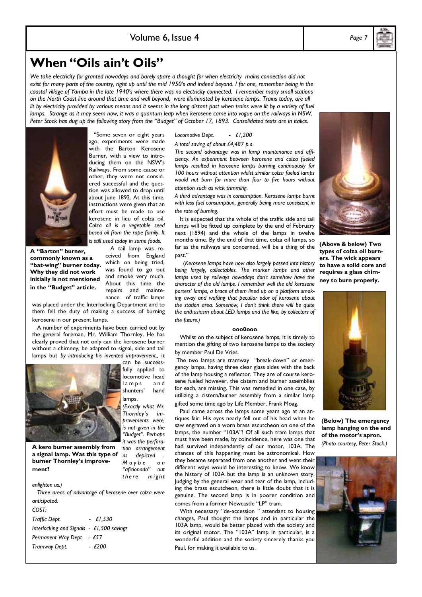### **When "Oils ain't Oils"**

We take electricity for granted nowadays and barely spare a thought for when electricity mains connection did not *exist for many parts of the country, right up until the mid 1950's and indeed beyond. I for one, remember being in the coastal village of Yamba in the late 1940's where there was no electricity connected. I remember many small stations on the North Coast line around that time and well beyond, were illuminated by kerosene lamps. Trains today, are all lit by electricity provided by various means and it seems in the long distant past when trains were lit by a variety of fuel lamps. Strange as it may seem now, it was a quantum leap when kerosene came into vogue on the railways in NSW. Peter Stock has dug up the following story from the "Budget" of October 17, 1893. Consolidated texts are in italics.* 



**A "Barton" burner, commonly known as a "bat-wing" burner today. Why they did not work initially is not mentioned in the "Budget" article.** 

 "Some seven or eight years ago, experiments were made with the Barton Kerosene Burner, with a view to introducing them on the NSW's Railways. From some cause or other, they were not considered successful and the question was allowed to drop until about lune 1892. At this time, instructions were given that an effort must be made to use kerosene in lieu of colza oil. *Colza oil is a vegetable seed based oil from the rape family. It is still used today in some foods.* 

> A tail lamp was received from England which on being tried, was found to go out and smoke very much. About this time the repairs and maintenance of traffic lamps

was placed under the Interlocking Department and to them fell the duty of making a success of burning kerosene in our present lamps.

 A number of experiments have been carried out by the general foreman, Mr. William Thornley. He has clearly proved that not only can the kerosene burner without a chimney, be adapted to signal, side and tail lamps but *by introducing his invented improvement,,* it



**A kero burner assembly from a signal lamp. Was this type of burner Thornley's improve-**

*is not given in the "Budget". Perhaps it was the perforation arrangement as depicted .* 

*M a y b e a n*  "aficionado" *there* might **ment?** 

*enlighten us.)* 

 *Three areas of advantage of kerosene over colza were anticipated.* 

*COST: Traffic Dept. - £1,530 Interlocking and Signals - £1,500 savings Permanent Way Dept. - £57 Tramway Dept. - £200* 

#### *Locomotive Dept. - £1,200*

*A total saving of about £4,487 p.a.* 

*The second advantage was in lamp maintenance and efficiency. An experiment between kerosene and colza fueled lamps resulted in kerosene lamps burning continuously for 100 hours without attention whilst similar colza fueled lamps would not burn for more than four to five hours without attention such as wick trimming.* 

*A third advantage was in consumption. Kerosene lamps burnt with less fuel consumption, generally being more consistent in the rate of burning.* 

It is expected that the whole of the traffic side and tail lamps will be fitted up complete by the end of February next (1894) and the whole of the lamps in twelve months time. By the end of that time, colza oil lamps, so far as the railways are concerned, will be a thing of the past."

 (*Kerosene lamps have now also largely passed into history being largely, collectables. The marker lamps and other lamps used by railways nowadays don't somehow have the character of the old lamps. I remember well the old kerosene porters' lamps, a brace of them lined up on a platform smoking away and wafting that peculiar odor of kerosene about the station area. Somehow, I don't think there will be quite the enthusiasm about LED lamps and the like, by collectors of the future.)* 

#### **ooo0ooo**

 Whilst on the subject of kerosene lamps, it is timely to mention the gifting of two kerosene lamps to the society by member Paul De Vries.

 The two lamps are tramway "break-down" or emergency lamps, having three clear glass sides with the back of the lamp housing a reflector. They are of course kerosene fueled however, the cistern and burner assemblies for each, are missing. This was remedied in one case, by utilizing a cistern/burner assembly from a similar lamp gifted some time ago by Life Member, Frank Moag.

 Paul came across the lamps some years ago at an antiques fair. His eyes nearly fell out of his head when he saw engraved on a worn brass escutcheon on one of the lamps, the number "103A"! Of all such tram lamps that must have been made, by coincidence, here was one that had survived independently of our motor, 103A. The chances of this happening must be astronomical. How they became separated from one another and went their different ways would be interesting to know. We know the history of 103A but the lamp is an unknown story. Judging by the general wear and tear of the lamp, including the brass escutcheon, there is little doubt that it is genuine. The second lamp is in poorer condition and

 With necessary "de-accession " attendant to housing changes, Paul thought the lamps and in particular the 103A lamp, would be better placed with the society and its original motor. The "103A" lamp in particular, is a wonderful addition and the society sincerely thanks you Paul, for making it available to us.

comes from a former Newcastle "LP" tram.

**(Above & below) Two** 

**types of colza oil burners. The wick appears to have a solid core and requires a glass chimney to burn properly.** 



**(Below) The emergency lamp hanging on the end of the motor's apron.**  *(Photo courtesy, Peter Stock.)*